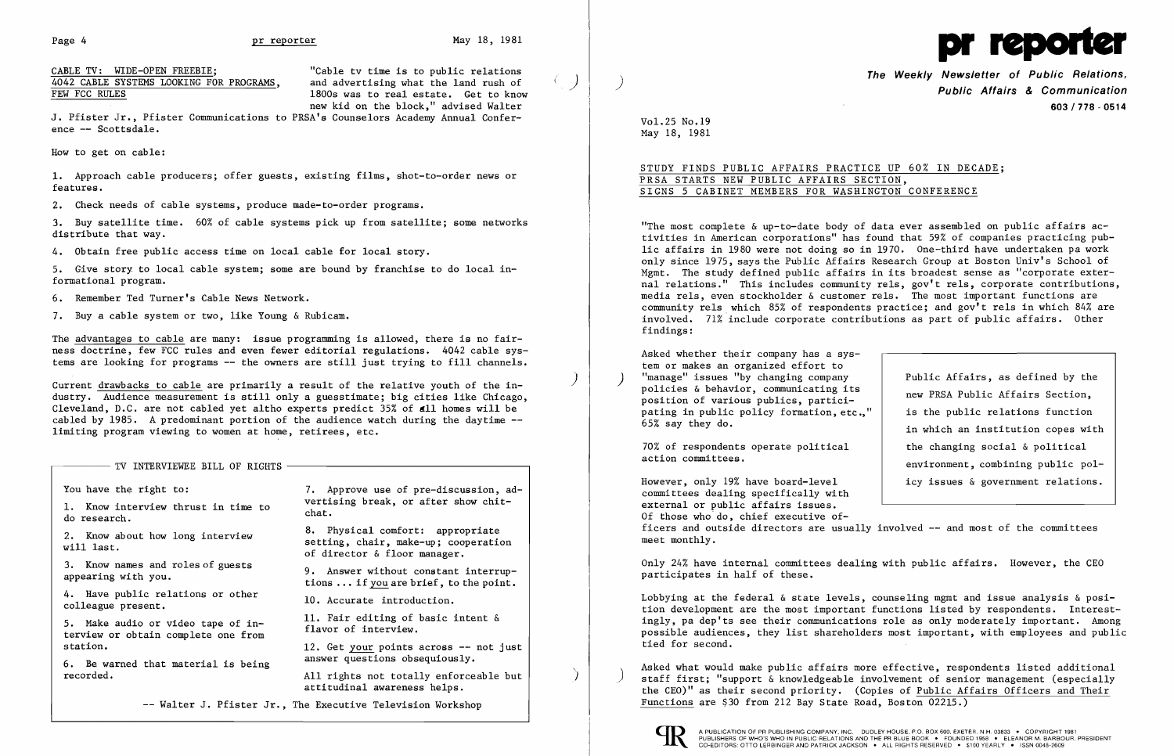

CABLE TV: WIDE-OPEN FREEBIE;<br>4042 CABLE SYSTEMS LOOKING FOR PROGRAMS, and advertising what the land rush of 1800s was to real estate. Get to know new kid on the block," advised Walter

J. Pfister Jr., Pfister Communications to PRSA's Counselors Academy Annual Conference -- Scottsdale.

How to get on cable:

1. Approach cable producers; offer guests, existing films, shot-to-order news or features.

2. Check needs of cable systems, produce made-to-order programs.

3. Buy satellite time. 60% of cable systems pick up from satellite; some networks distribute that way.

4. Obtain free public access time on local cable for local story.

5. Give story to local cable system; some are bound by franchise to do local informational program.

6. Remember Ted Turner's Cable News Network.

7. Buy a cable system or two, like Young & Rubicam.

The advantages to cable are many: issue programming is allowed, there is no fairness doctrine, few FCC rules and even fewer editorial regulations. 4042 cable systems are looking for programs -- the owners are still just trying to fill channels.

> All rights not totally enforceable but attitudinal awareness helps.

The Weekly Newsletter of Public Relations,<br>Public Affairs & Communication 603/778·0514

in which an institution copes with environment, combining public pol-

Current drawbacks to cable are primarily a result of the relative youth of the industry. Audience measurement is still only a guesstimate; big cities like Chicago, Cleveland, D.C. are not cabled yet altho experts predict  $35\%$  of  $d11$  homes will be cabled by 1985. A predominant portion of the audience watch during the daytime limiting program viewing to women at home, retirees, etc.

## $-$  TV INTERVIEWEE BILL OF RIGHTS  $-$

4. Have public relations or other 10. Accurate introduction.<br>colleague present.

6. Be warned that material is being recorded.

You have the right to:  $\overline{7}$ . Approve use of pre-discussion, ad-1. Know interview thrust in time to vertising break, or after show chit-<br>do research.

2. Know about how long interview 8. Physical comfort: appropriate<br>will last. Setting, chair, make-up; cooperation<br>of director & floor manager.

3. Know names and roles of guests 9. Answer without constant interrup-<br>appearing with you. tions ... if you are brief, to the point.

5. Make audio or video tape of in-<br>terview or obtain complete one from flavor of interview.

Asked whether their company has a sys tem or makes an organized effort to ) "manage" issues "by changing company<br>
policies & behavior, communicating its<br>
policies & behavior, communicating its<br>
policies & behavior, communicating its policies & behavior, communicating its<br>
position of various publics, partici-<br>
pating in public policy formation.etc.." is the public relations function pating in public policy formation, etc.,"<br>65% say they do.

70% of respondents operate political the changing social & political action committees.

However, only 19% have board-level icy issues & government relations. committees dealing specifically with external or public affairs issues. Of those who do, chief executive officers and outside directors are usually involved -- and most of the committees meet monthly.

station. 12. Get your points across -- not just

Lobbying at the federal & state levels, counseling mgmt and issue analysis & position development are the most important functions listed by respondents. Interestingly, pa dep'ts see their communications role as only moderately important. Among possible audiences, they list shareholders most important, with employees and public tied for second.

-- Walter J. Pfister Jr., The Executive Television Workshop

)

)

i

 $4042$  CABLE SYSTEMS LOOKING FOR PROGRAMS, FEW FCC RULES

)

Asked what would make public affairs more effective, respondents listed additional staff first; "support & knowledgeable involvement of senior management (especially the CEO)" as their second priority. (Copies of Public Affairs Officers and Their Functions are \$30 from 212 Bay State Road, Boston 02215.)



Vol.25 No.19 May 18, 1981

## STUDY FINDS PUBLIC AFFAIRS PRACTICE UP 60% IN DECADE; PRSA STARTS NEW PUBLIC AFFAIRS SECTION, SIGNS 5 CABINET MEMBERS FOR WASHINGTON CONFERENCE

"The most complete & up-to-date body of data ever assembled on public affairs activities in American corporations" has found that 59% of companies practicing public affairs in 1980 were not doing so in 1970. One-third have undertaken pa work only since 1975, says the Public Affairs Research Group at Boston Univ's School of Mgmt. The study defined public affairs in its broadest sense as "corporate external relations." This includes community rels, gov't rels, corporate contributions, media rels, even stockholder & customer rels. The most important functions are community rels. which 85% of respondents practice; and gov't rels in which 84% are involved. 71% include corporate contributions as part of public affairs. Other findings:

Only 24% have internal committees dealing with public affairs. However, the CEO participates in half of these.